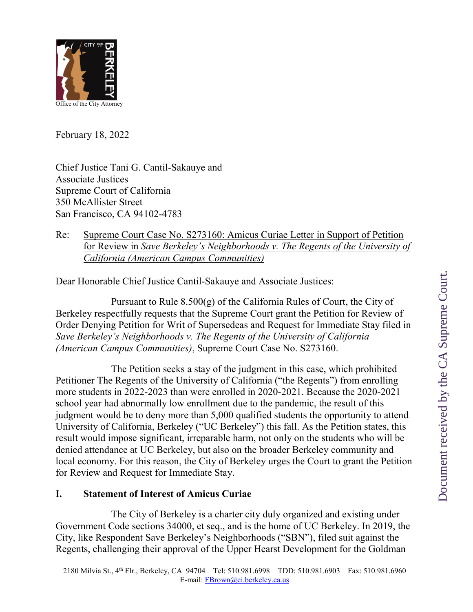

February 18, 2022

Chief Justice Tani G. Cantil-Sakauye and Associate Justices Supreme Court of California 350 McAllister Street San Francisco, CA 94102-4783

## Re: Supreme Court Case No. S273160: Amicus Curiae Letter in Support of Petition for Review in *Save Berkeley's Neighborhoods v. The Regents of the University of California (American Campus Communities)*

Dear Honorable Chief Justice Cantil-Sakauye and Associate Justices:

Pursuant to Rule  $8.500(g)$  of the California Rules of Court, the City of Berkeley respectfully requests that the Supreme Court grant the Petition for Review of Order Denying Petition for Writ of Supersedeas and Request for Immediate Stay filed in *Save Berkeley's Neighborhoods v. The Regents of the University of California (American Campus Communities)*, Supreme Court Case No. S273160.

The Petition seeks a stay of the judgment in this case, which prohibited Petitioner The Regents of the University of California ("the Regents") from enrolling more students in 2022-2023 than were enrolled in 2020-2021. Because the 2020-2021 school year had abnormally low enrollment due to the pandemic, the result of this judgment would be to deny more than 5,000 qualified students the opportunity to attend University of California, Berkeley ("UC Berkeley") this fall. As the Petition states, this result would impose significant, irreparable harm, not only on the students who will be denied attendance at UC Berkeley, but also on the broader Berkeley community and local economy. For this reason, the City of Berkeley urges the Court to grant the Petition for Review and Request for Immediate Stay.

## **I. Statement of Interest of Amicus Curiae**

The City of Berkeley is a charter city duly organized and existing under Government Code sections 34000, et seq., and is the home of UC Berkeley. In 2019, the City, like Respondent Save Berkeley's Neighborhoods ("SBN"), filed suit against the Regents, challenging their approval of the Upper Hearst Development for the Goldman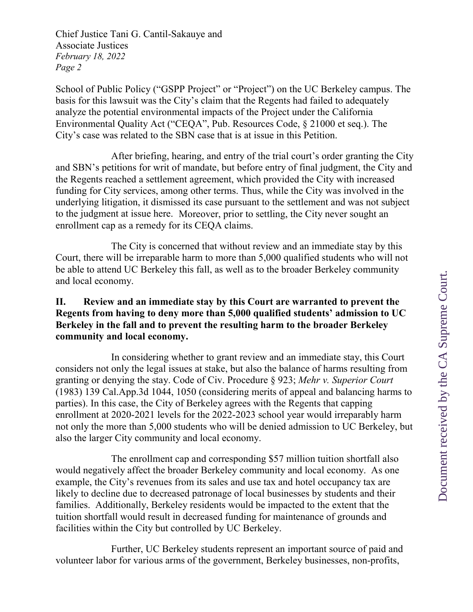School of Public Policy ("GSPP Project" or "Project") on the UC Berkeley campus. The basis for this lawsuit was the City's claim that the Regents had failed to adequately analyze the potential environmental impacts of the Project under the California Environmental Quality Act ("CEQA", Pub. Resources Code, § 21000 et seq.). The City's case was related to the SBN case that is at issue in this Petition.

After briefing, hearing, and entry of the trial court's order granting the City and SBN's petitions for writ of mandate, but before entry of final judgment, the City and the Regents reached a settlement agreement, which provided the City with increased funding for City services, among other terms. Thus, while the City was involved in the underlying litigation, it dismissed its case pursuant to the settlement and was not subject to the judgment at issue here. Moreover, prior to settling, the City never sought an enrollment cap as a remedy for its CEQA claims.

The City is concerned that without review and an immediate stay by this Court, there will be irreparable harm to more than 5,000 qualified students who will not be able to attend UC Berkeley this fall, as well as to the broader Berkeley community and local economy.

## **II. Review and an immediate stay by this Court are warranted to prevent the Regents from having to deny more than 5,000 qualified students' admission to UC Berkeley in the fall and to prevent the resulting harm to the broader Berkeley community and local economy.**

In considering whether to grant review and an immediate stay, this Court considers not only the legal issues at stake, but also the balance of harms resulting from granting or denying the stay. Code of Civ. Procedure § 923; *Mehr v. Superior Court* (1983) 139 Cal.App.3d 1044, 1050 (considering merits of appeal and balancing harms to parties). In this case, the City of Berkeley agrees with the Regents that capping enrollment at 2020-2021 levels for the 2022-2023 school year would irreparably harm not only the more than 5,000 students who will be denied admission to UC Berkeley, but also the larger City community and local economy.

The enrollment cap and corresponding \$57 million tuition shortfall also would negatively affect the broader Berkeley community and local economy. As one example, the City's revenues from its sales and use tax and hotel occupancy tax are likely to decline due to decreased patronage of local businesses by students and their families. Additionally, Berkeley residents would be impacted to the extent that the tuition shortfall would result in decreased funding for maintenance of grounds and facilities within the City but controlled by UC Berkeley.

Further, UC Berkeley students represent an important source of paid and volunteer labor for various arms of the government, Berkeley businesses, non-profits,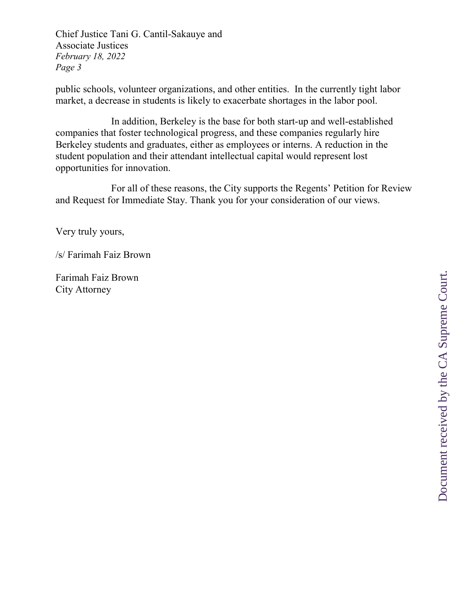public schools, volunteer organizations, and other entities. In the currently tight labor market, a decrease in students is likely to exacerbate shortages in the labor pool.

In addition, Berkeley is the base for both start-up and well-established companies that foster technological progress, and these companies regularly hire Berkeley students and graduates, either as employees or interns. A reduction in the student population and their attendant intellectual capital would represent lost opportunities for innovation.

For all of these reasons, the City supports the Regents' Petition for Review and Request for Immediate Stay. Thank you for your consideration of our views.

Very truly yours,

/s/ Farimah Faiz Brown

Farimah Faiz Brown City Attorney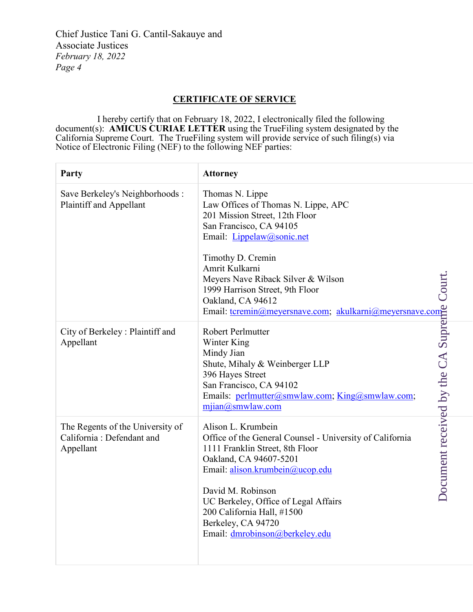## **CERTIFICATE OF SERVICE**

I hereby certify that on February 18, 2022, I electronically filed the following document(s): **AMICUS CURIAE LETTER** using the TrueFiling system designated by the California Supreme Court. The TrueFiling system will provide service of such filing(s) via Notice of Electronic Filing (NEF) to the following NEF parties:

| <b>Party</b>                                                               | <b>Attorney</b>                                                                                                                                                                                                                                                                                                                                                                         |
|----------------------------------------------------------------------------|-----------------------------------------------------------------------------------------------------------------------------------------------------------------------------------------------------------------------------------------------------------------------------------------------------------------------------------------------------------------------------------------|
| Save Berkeley's Neighborhoods :<br>Plaintiff and Appellant                 | Thomas N. Lippe<br>Law Offices of Thomas N. Lippe, APC<br>201 Mission Street, 12th Floor<br>San Francisco, CA 94105<br>Email: Lippelaw@sonic.net<br>Timothy D. Cremin<br>Amrit Kulkarni<br>Court<br>Meyers Nave Riback Silver & Wilson<br>1999 Harrison Street, 9th Floor<br>Oakland, CA 94612                                                                                          |
| City of Berkeley: Plaintiff and<br>Appellant                               |                                                                                                                                                                                                                                                                                                                                                                                         |
| The Regents of the University of<br>California: Defendant and<br>Appellant | 1999 Harrison Street, 9th Floor<br>Oakland, CA 94612<br>Email: t <u>cremin@meyersnave.com</u> : <u>akulkarni@meyersnave.com</u><br>Robert Perlmutter<br>Winter King<br>Mindy Jian<br>Shute, Mihaly & Weinberger LLP<br>Offices Street<br>San Francisco, C<br>UC Berkeley, Office of Legal Affairs<br>200 California Hall, #1500<br>Berkeley, CA 94720<br>Email: dmrobinson@berkeley.edu |